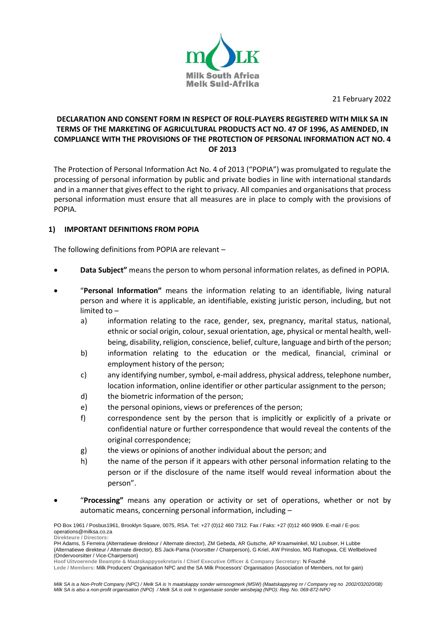

21 February 2022

## **DECLARATION AND CONSENT FORM IN RESPECT OF ROLE-PLAYERS REGISTERED WITH MILK SA IN TERMS OF THE MARKETING OF AGRICULTURAL PRODUCTS ACT NO. 47 OF 1996, AS AMENDED, IN COMPLIANCE WITH THE PROVISIONS OF THE PROTECTION OF PERSONAL INFORMATION ACT NO. 4 OF 2013**

The Protection of Personal Information Act No. 4 of 2013 ("POPIA") was promulgated to regulate the processing of personal information by public and private bodies in line with international standards and in a manner that gives effect to the right to privacy. All companies and organisations that process personal information must ensure that all measures are in place to comply with the provisions of POPIA.

## **1) IMPORTANT DEFINITIONS FROM POPIA**

The following definitions from POPIA are relevant –

- **Data Subject"** means the person to whom personal information relates, as defined in POPIA.
- "**Personal Information"** means the information relating to an identifiable, living natural person and where it is applicable, an identifiable, existing juristic person, including, but not limited to –
	- a) information relating to the race, gender, sex, pregnancy, marital status, national, ethnic or social origin, colour, sexual orientation, age, physical or mental health, wellbeing, disability, religion, conscience, belief, culture, language and birth of the person;
	- b) information relating to the education or the medical, financial, criminal or employment history of the person;
	- c) any identifying number, symbol, e-mail address, physical address, telephone number, location information, online identifier or other particular assignment to the person;
	- d) the biometric information of the person;
	- e) the personal opinions, views or preferences of the person;
	- f) correspondence sent by the person that is implicitly or explicitly of a private or confidential nature or further correspondence that would reveal the contents of the original correspondence;
	- g) the views or opinions of another individual about the person; and
	- h) the name of the person if it appears with other personal information relating to the person or if the disclosure of the name itself would reveal information about the person".
- "**Processing"** means any operation or activity or set of operations, whether or not by automatic means, concerning personal information, including –

PO Box 1961 / Posbus1961, Brooklyn Square, 0075, RSA. Tel: +27 (0)12 460 7312. Fax / Faks: +27 (0)12 460 9909. E-mail / E-pos: operations@milksa.co.za **Direkteure / Directors:**

PH Adams, S Ferreira (Alternatiewe direkteur / Alternate director), ZM Gebeda, AR Gutsche, AP Kraamwinkel, MJ Loubser, H Lubbe (Alternatiewe direkteur / Alternate director), BS Jack-Pama (Voorsitter / Chairperson), G Kriel, AW Prinsloo, MG Rathogwa, CE Wellbeloved (Ondervoorsitter / Vice-Chairperson)

**Hoof Uitvoerende Beampte & Maatskappysekretaris / Chief Executive Officer & Company Secretary:** N Fouché **Lede / Members:** Milk Producers' Organisation NPC and the SA Milk Processors' Organisation (Association of Members, not for gain)

*Milk SA is a Non-Profit Company (NPC) / Melk SA is 'n maatskappy sonder winsoogmerk (MSW) (Maatskappyreg nr / Company reg no 2002/032020/08) Milk SA is also a non-profit organisation (NPO) / Melk SA is ook 'n organisasie sonder winsbejag (NPO): Reg. No. 069-872-NPO*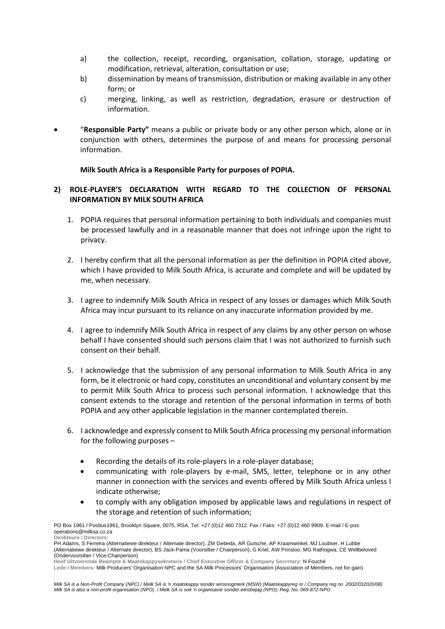- a) the collection, receipt, recording, organisation, collation, storage, updating or modification, retrieval, alteration, consultation or use;
- b) dissemination by means of transmission, distribution or making available in any other form; or
- c) merging, linking, as well as restriction, degradation, erasure or destruction of information.
- "**Responsible Party"** means a public or private body or any other person which, alone or in conjunction with others, determines the purpose of and means for processing personal information.

**Milk South Africa is a Responsible Party for purposes of POPIA.** 

## **2) ROLE-PLAYER'S DECLARATION WITH REGARD TO THE COLLECTION OF PERSONAL INFORMATION BY MILK SOUTH AFRICA**

- 1. POPIA requires that personal information pertaining to both individuals and companies must be processed lawfully and in a reasonable manner that does not infringe upon the right to privacy.
- 2. I hereby confirm that all the personal information as per the definition in POPIA cited above, which I have provided to Milk South Africa, is accurate and complete and will be updated by me, when necessary.
- 3. I agree to indemnify Milk South Africa in respect of any losses or damages which Milk South Africa may incur pursuant to its reliance on any inaccurate information provided by me.
- 4. I agree to indemnify Milk South Africa in respect of any claims by any other person on whose behalf I have consented should such persons claim that I was not authorized to furnish such consent on their behalf.
- 5. I acknowledge that the submission of any personal information to Milk South Africa in any form, be it electronic or hard copy, constitutes an unconditional and voluntary consent by me to permit Milk South Africa to process such personal information. I acknowledge that this consent extends to the storage and retention of the personal information in terms of both POPIA and any other applicable legislation in the manner contemplated therein.
- 6. I acknowledge and expressly consent to Milk South Africa processing my personal information for the following purposes –
	- Recording the details of its role-players in a role-player database;
	- communicating with role-players by e-mail, SMS, letter, telephone or in any other manner in connection with the services and events offered by Milk South Africa unless I indicate otherwise;
	- to comply with any obligation imposed by applicable laws and regulations in respect of the storage and retention of such information;

PO Box 1961 / Posbus1961, Brooklyn Square, 0075, RSA. Tel: +27 (0)12 460 7312. Fax / Faks: +27 (0)12 460 9909. E-mail / E-pos: operations@milksa.co.za **Direkteure / Directors:**

*Milk SA is a Non-Profit Company (NPC) / Melk SA is 'n maatskappy sonder winsoogmerk (MSW) (Maatskappyreg nr / Company reg no 2002/032020/08) Milk SA is also a non-profit organisation (NPO) / Melk SA is ook 'n organisasie sonder winsbejag (NPO): Reg. No. 069-872-NPO*

PH Adams, S Ferreira (Alternatiewe direkteur / Alternate director), ZM Gebeda, AR Gutsche, AP Kraamwinkel, MJ Loubser, H Lubbe (Alternatiewe direkteur / Alternate director), BS Jack-Pama (Voorsitter / Chairperson), G Kriel, AW Prinsloo, MG Rathogwa, CE Wellbeloved (Ondervoorsitter / Vice-Chairperson)

**Hoof Uitvoerende Beampte & Maatskappysekretaris / Chief Executive Officer & Company Secretary:** N Fouché **Lede / Members:** Milk Producers' Organisation NPC and the SA Milk Processors' Organisation (Association of Members, not for gain)